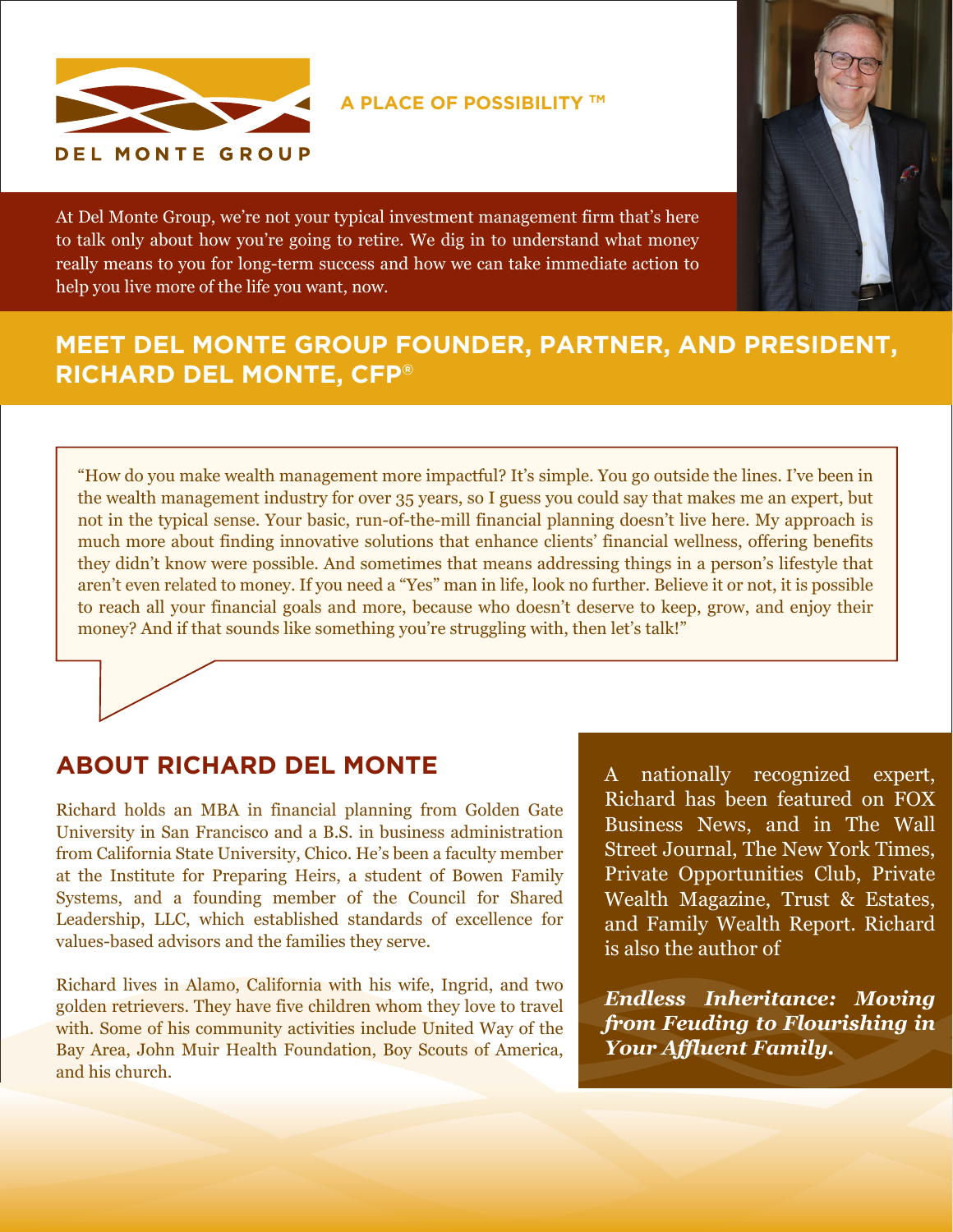

**A PLACE OF POSSIBILITY TM**

At Del Monte Group, we're not your typical investment management firm that's here to talk only about how you're going to retire. We dig in to understand what money really means to you for long-term success and how we can take immediate action to help you live more of the life you want, now.



## **MEET DEL MONTE GROUP FOUNDER, PARTNER, AND PRESIDENT, RICHARD DEL MONTE, CFP®**

"How do you make wealth management more impactful? It's simple. You go outside the lines. I've been in the wealth management industry for over 35 years, so I guess you could say that makes me an expert, but not in the typical sense. Your basic, run-of-the-mill financial planning doesn't live here. My approach is much more about finding innovative solutions that enhance clients' financial wellness, offering benefits they didn't know were possible. And sometimes that means addressing things in a person's lifestyle that aren't even related to money. If you need a "Yes" man in life, look no further. Believe it or not, it is possible to reach all your financial goals and more, because who doesn't deserve to keep, grow, and enjoy their money? And if that sounds like something you're struggling with, then let's talk!"

## **ABOUT RICHARD DEL MONTE**

Richard holds an MBA in financial planning from Golden Gate University in San Francisco and a B.S. in business administration from California State University, Chico. He's been a faculty member at the Institute for Preparing Heirs, a student of Bowen Family Systems, and a founding member of the Council for Shared Leadership, LLC, which established standards of excellence for values-based advisors and the families they serve.

Richard lives in Alamo, California with his wife, Ingrid, and two golden retrievers. They have five children whom they love to travel with. Some of his community activities include United Way of the Bay Area, John Muir Health Foundation, Boy Scouts of America, and his church.

A nationally recognized expert, Richard has been featured on FOX Business News, and in The Wall Street Journal, The New York Times, Private Opportunities Club, Private Wealth Magazine, Trust & Estates, and Family Wealth Report. Richard is also the author of

*Endless Inheritance: Moving from Feuding to Flourishing in Your Affluent Family.*